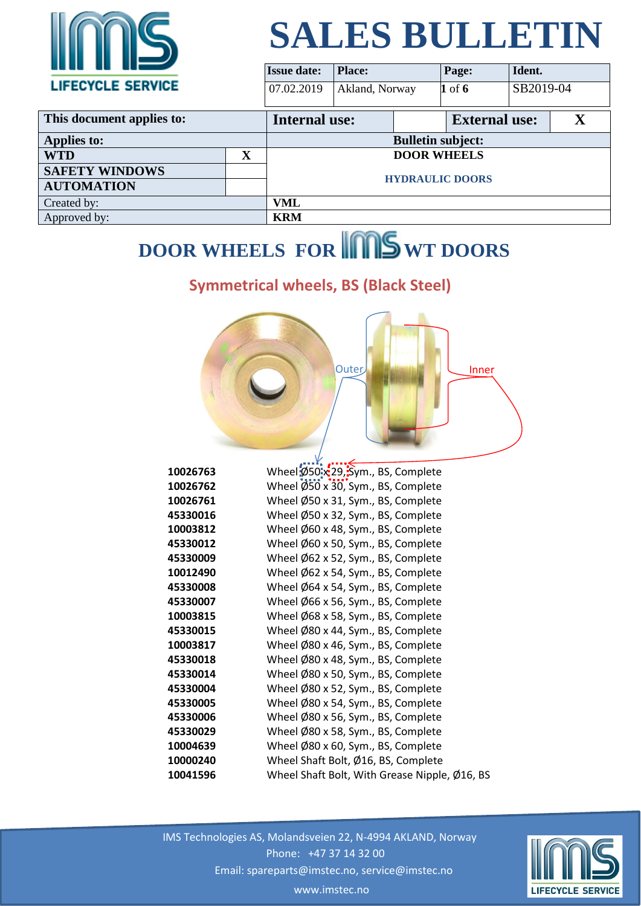

| $\mathbf{u}$ . The set of $\mathbf{u}$ |             | <b>Issue date:</b>       | <b>Place:</b>  |                      | Page:      | Ident.    |  |
|----------------------------------------|-------------|--------------------------|----------------|----------------------|------------|-----------|--|
| <b>LIFECYCLE SERVICE</b>               |             | 07.02.2019               | Akland, Norway |                      | $1$ of $6$ | SB2019-04 |  |
| This document applies to:              |             | <b>Internal use:</b>     |                | <b>External use:</b> |            |           |  |
| <b>Applies to:</b>                     |             | <b>Bulletin subject:</b> |                |                      |            |           |  |
| <b>WTD</b>                             | $\mathbf X$ |                          |                | <b>DOOR WHEELS</b>   |            |           |  |
| <b>SAFETY WINDOWS</b>                  |             | <b>HYDRAULIC DOORS</b>   |                |                      |            |           |  |
| <b>AUTOMATION</b>                      |             |                          |                |                      |            |           |  |
| Created by:                            |             | VML                      |                |                      |            |           |  |
| Approved by:                           |             | <b>KRM</b>               |                |                      |            |           |  |

### **DOOR WHEELS FOR IMPS WT DOORS**

#### **Symmetrical wheels, BS (Black Steel)**



| 10026763 | Wheel Ø50 x 29, Sym., BS, Complete            |
|----------|-----------------------------------------------|
| 10026762 | Wheel Ø50 x 30, Sym., BS, Complete            |
| 10026761 | Wheel Ø50 x 31, Sym., BS, Complete            |
| 45330016 | Wheel Ø50 x 32, Sym., BS, Complete            |
| 10003812 | Wheel $\emptyset$ 60 x 48, Sym., BS, Complete |
| 45330012 | Wheel $\emptyset$ 60 x 50, Sym., BS, Complete |
| 45330009 | Wheel $\emptyset$ 62 x 52, Sym., BS, Complete |
| 10012490 | Wheel Ø62 x 54, Sym., BS, Complete            |
| 45330008 | Wheel Ø64 x 54, Sym., BS, Complete            |
| 45330007 | Wheel Ø66 x 56, Sym., BS, Complete            |
| 10003815 | Wheel $\emptyset$ 68 x 58, Sym., BS, Complete |
| 45330015 | Wheel Ø80 x 44, Sym., BS, Complete            |
| 10003817 | Wheel Ø80 x 46, Sym., BS, Complete            |
| 45330018 | Wheel Ø80 x 48, Sym., BS, Complete            |
| 45330014 | Wheel Ø80 x 50, Sym., BS, Complete            |
| 45330004 | Wheel Ø80 x 52, Sym., BS, Complete            |
| 45330005 | Wheel Ø80 x 54, Sym., BS, Complete            |
| 45330006 | Wheel Ø80 x 56, Sym., BS, Complete            |
| 45330029 | Wheel Ø80 x 58, Sym., BS, Complete            |
| 10004639 | Wheel Ø80 x 60, Sym., BS, Complete            |
| 10000240 | Wheel Shaft Bolt, Ø16, BS, Complete           |
| 10041596 | Wheel Shaft Bolt, With Grease Nipple, Ø16, BS |

 IMS Technologies AS, Molandsveien 22, N-4994 AKLAND, Norway Phone: +47 37 14 32 00 Email: spareparts@imstec.no, service@imstec.no



www.imstec.no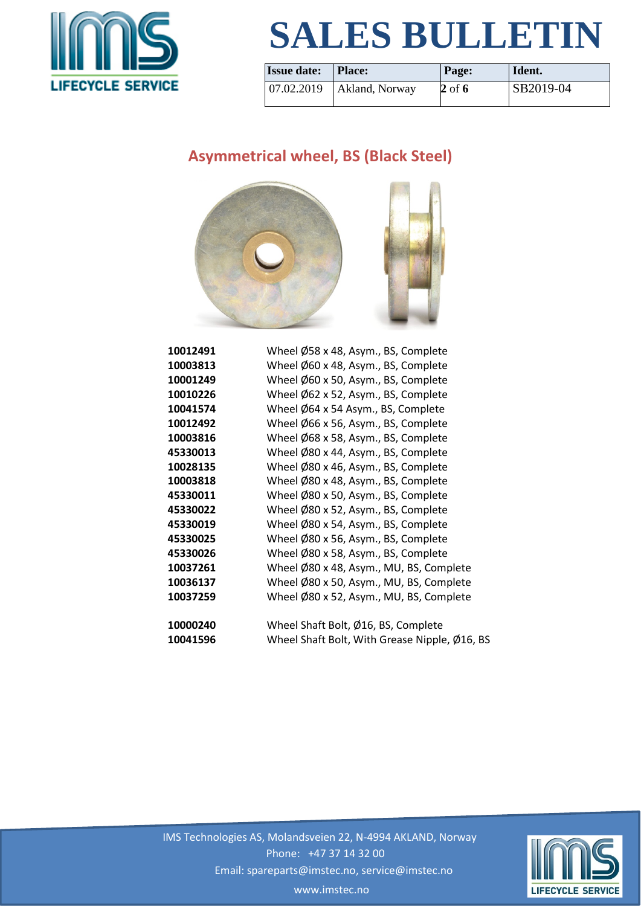

| <b>Issue date:</b>   | Place:         | Page:  | Ident.    |
|----------------------|----------------|--------|-----------|
| $ 07.02.2019\rangle$ | Akland, Norway | 2 of 6 | SB2019-04 |

#### **Asymmetrical wheel, BS (Black Steel)**



| 10012491 | Wheel Ø58 x 48, Asym., BS, Complete            |
|----------|------------------------------------------------|
| 10003813 | Wheel Ø60 x 48, Asym., BS, Complete            |
| 10001249 | Wheel $\emptyset$ 60 x 50, Asym., BS, Complete |
| 10010226 | Wheel $\emptyset$ 62 x 52, Asym., BS, Complete |
| 10041574 | Wheel Ø64 x 54 Asym., BS, Complete             |
| 10012492 | Wheel Ø66 x 56, Asym., BS, Complete            |
| 10003816 | Wheel Ø68 x 58, Asym., BS, Complete            |
| 45330013 | Wheel Ø80 x 44, Asym., BS, Complete            |
| 10028135 | Wheel Ø80 x 46, Asym., BS, Complete            |
| 10003818 | Wheel Ø80 x 48, Asym., BS, Complete            |
| 45330011 | Wheel Ø80 x 50, Asym., BS, Complete            |
| 45330022 | Wheel Ø80 x 52, Asym., BS, Complete            |
| 45330019 | Wheel Ø80 x 54, Asym., BS, Complete            |
| 45330025 | Wheel Ø80 x 56, Asym., BS, Complete            |
| 45330026 | Wheel $\emptyset$ 80 x 58, Asym., BS, Complete |
| 10037261 | Wheel Ø80 x 48, Asym., MU, BS, Complete        |
| 10036137 | Wheel Ø80 x 50, Asym., MU, BS, Complete        |
| 10037259 | Wheel Ø80 x 52, Asym., MU, BS, Complete        |
|          |                                                |
| 10000240 | Wheel Shaft Bolt, Ø16, BS, Complete            |
| 10041596 | Wheel Shaft Bolt, With Grease Nipple, Ø16, BS  |
|          |                                                |

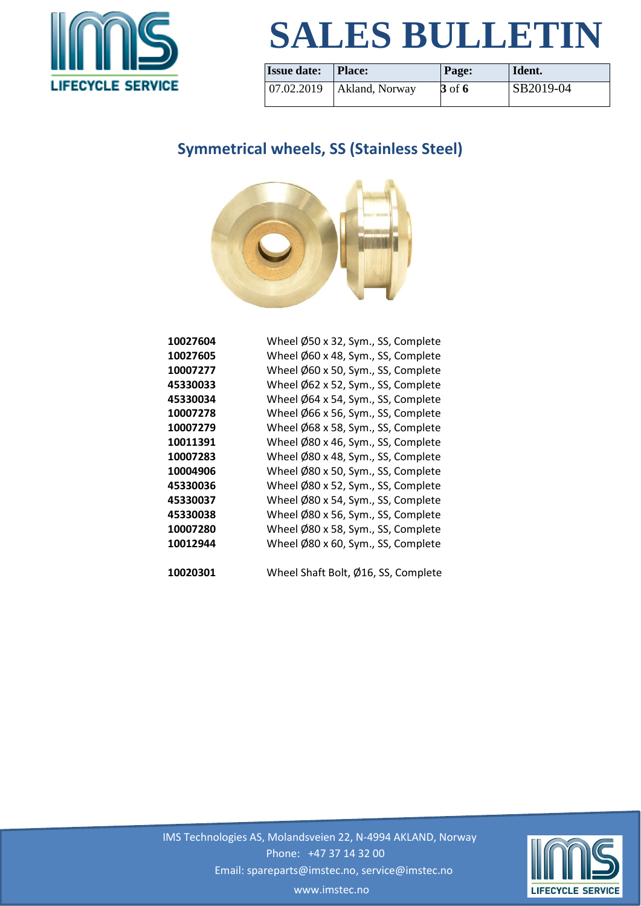

| <b>Issue date:</b>   | Place:         | Page:  | Ident.           |
|----------------------|----------------|--------|------------------|
| $ 07.02.2019\rangle$ | Akland, Norway | 3 of 6 | <b>SB2019-04</b> |

### **Symmetrical wheels, SS (Stainless Steel)**



| 10027604 | Wheel Ø50 x 32, Sym., SS, Complete  |
|----------|-------------------------------------|
| 10027605 | Wheel Ø60 x 48, Sym., SS, Complete  |
| 10007277 | Wheel Ø60 x 50, Sym., SS, Complete  |
| 45330033 | Wheel Ø62 x 52, Sym., SS, Complete  |
| 45330034 | Wheel Ø64 x 54, Sym., SS, Complete  |
| 10007278 | Wheel Ø66 x 56, Sym., SS, Complete  |
| 10007279 | Wheel Ø68 x 58, Sym., SS, Complete  |
| 10011391 | Wheel Ø80 x 46, Sym., SS, Complete  |
| 10007283 | Wheel Ø80 x 48, Sym., SS, Complete  |
| 10004906 | Wheel Ø80 x 50, Sym., SS, Complete  |
| 45330036 | Wheel Ø80 x 52, Sym., SS, Complete  |
| 45330037 | Wheel Ø80 x 54, Sym., SS, Complete  |
| 45330038 | Wheel Ø80 x 56, Sym., SS, Complete  |
| 10007280 | Wheel Ø80 x 58, Sym., SS, Complete  |
| 10012944 | Wheel Ø80 x 60, Sym., SS, Complete  |
| 10020301 | Wheel Shaft Bolt, Ø16, SS, Complete |

 IMS Technologies AS, Molandsveien 22, N-4994 AKLAND, Norway Phone: +47 37 14 32 00 Email: spareparts@imstec.no, service@imstec.no www.imstec.no

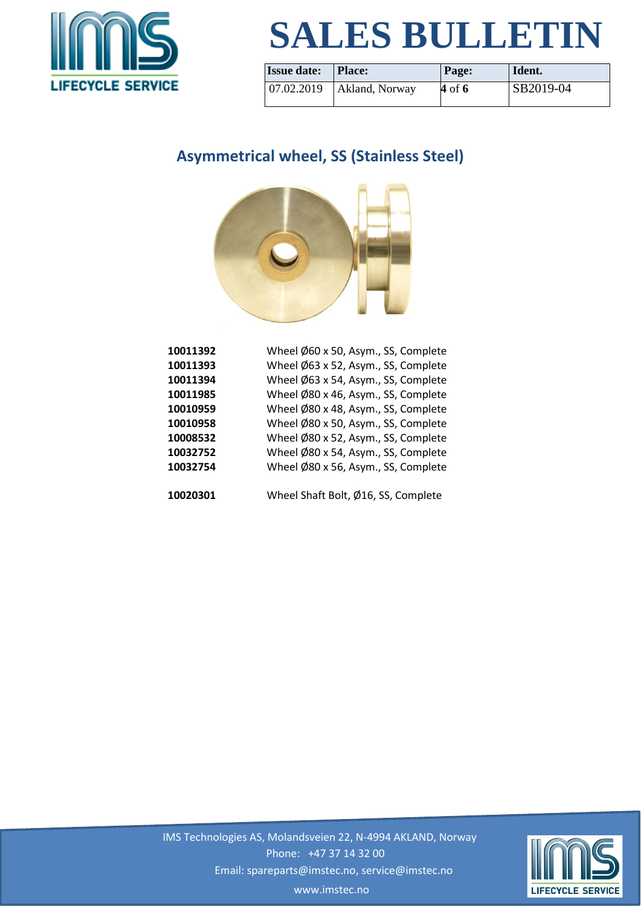

| <b>Issue date:</b>   | Place:         | Page:    | Ident.    |
|----------------------|----------------|----------|-----------|
| $ 07.02.2019\rangle$ | Akland, Norway | $4$ of 6 | SB2019-04 |

#### **Asymmetrical wheel, SS (Stainless Steel)**



| 10011392 | Wheel Ø60 x 50, Asym., SS, Complete |
|----------|-------------------------------------|
| 10011393 | Wheel Ø63 x 52, Asym., SS, Complete |
| 10011394 | Wheel Ø63 x 54, Asym., SS, Complete |
| 10011985 | Wheel Ø80 x 46, Asym., SS, Complete |
| 10010959 | Wheel Ø80 x 48, Asym., SS, Complete |
| 10010958 | Wheel Ø80 x 50, Asym., SS, Complete |
| 10008532 | Wheel Ø80 x 52, Asym., SS, Complete |
| 10032752 | Wheel Ø80 x 54, Asym., SS, Complete |
| 10032754 | Wheel Ø80 x 56, Asym., SS, Complete |
|          |                                     |
| 10020301 | Wheel Shaft Bolt, Ø16, SS, Complete |



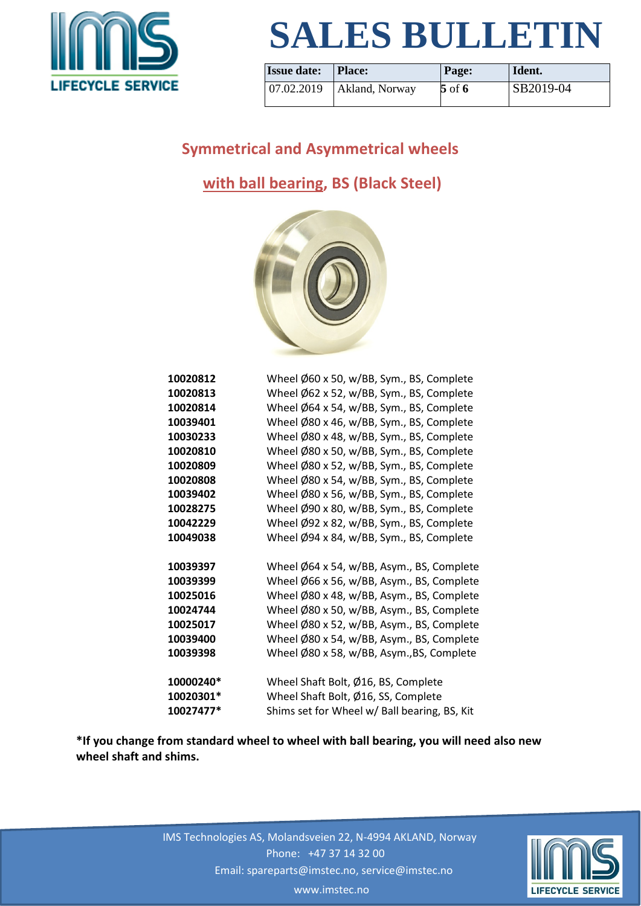

| <b>Issue date:</b> | <b>Place:</b>                           | Page:    | Ident.    |
|--------------------|-----------------------------------------|----------|-----------|
|                    | $\vert 07.02.2019 \vert$ Akland, Norway | $5$ of 6 | SB2019-04 |

#### **Symmetrical and Asymmetrical wheels**

#### **with ball bearing, BS (Black Steel)**



| 10020812  | Wheel Ø60 x 50, w/BB, Sym., BS, Complete     |
|-----------|----------------------------------------------|
| 10020813  | Wheel Ø62 x 52, w/BB, Sym., BS, Complete     |
| 10020814  | Wheel Ø64 x 54, w/BB, Sym., BS, Complete     |
| 10039401  | Wheel Ø80 x 46, w/BB, Sym., BS, Complete     |
| 10030233  | Wheel Ø80 x 48, w/BB, Sym., BS, Complete     |
| 10020810  | Wheel Ø80 x 50, w/BB, Sym., BS, Complete     |
| 10020809  | Wheel Ø80 x 52, w/BB, Sym., BS, Complete     |
| 10020808  | Wheel Ø80 x 54, w/BB, Sym., BS, Complete     |
| 10039402  | Wheel Ø80 x 56, w/BB, Sym., BS, Complete     |
| 10028275  | Wheel Ø90 x 80, w/BB, Sym., BS, Complete     |
| 10042229  | Wheel Ø92 x 82, w/BB, Sym., BS, Complete     |
| 10049038  | Wheel Ø94 x 84, w/BB, Sym., BS, Complete     |
| 10039397  | Wheel Ø64 x 54, w/BB, Asym., BS, Complete    |
| 10039399  | Wheel Ø66 x 56, w/BB, Asym., BS, Complete    |
| 10025016  | Wheel Ø80 x 48, w/BB, Asym., BS, Complete    |
| 10024744  | Wheel Ø80 x 50, w/BB, Asym., BS, Complete    |
| 10025017  | Wheel Ø80 x 52, w/BB, Asym., BS, Complete    |
| 10039400  | Wheel Ø80 x 54, w/BB, Asym., BS, Complete    |
| 10039398  | Wheel Ø80 x 58, w/BB, Asym., BS, Complete    |
| 10000240* | Wheel Shaft Bolt, Ø16, BS, Complete          |
| 10020301* | Wheel Shaft Bolt, Ø16, SS, Complete          |
| 10027477* | Shims set for Wheel w/ Ball bearing, BS, Kit |

**\*If you change from standard wheel to wheel with ball bearing, you will need also new wheel shaft and shims.**